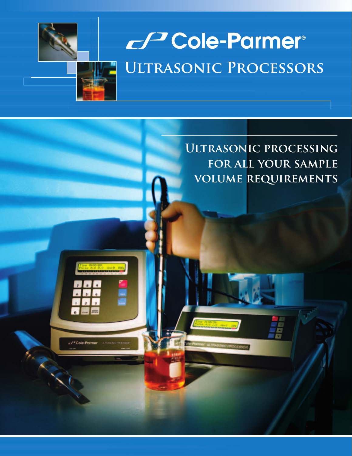

/<sup>3</sup>Cole-Parm

# Cole-Parmer® **Ultrasonic Processors**

**Ultrasonic processing for all your sample volume requirements**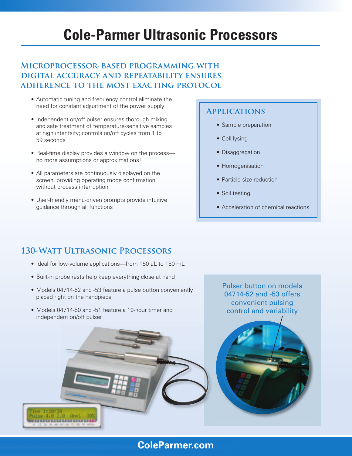## **Cole-Parmer Ultrasonic Processors**

### **Microprocessor-based programming with digital accuracy and repeatability ensures adherence to the most exacting protocol**

- Automatic tuning and frequency control eliminate the need for constant adjustment of the power supply
- Independent on/off pulser ensures thorough mixing and safe treatment of temperature-sensitive samples at high intentsity; controls on/off cycles from 1 to 59 seconds
- Real-time display provides a window on the process no more assumptions or approximations!
- All parameters are continuously displayed on the screen, providing operating mode confirmation without process interruption
- User-friendly menu-driven prompts provide intuitive guidance through all functions

### **Applications**

- Sample preparation
- Cell lysing
- Disaggregation
- Homogenisation
- Particle size reduction
- Soil testing
- Acceleration of chemical reactions

## **130-Watt Ultrasonic Processors**

- Ideal for low-volume applications—from 150 µL to 150 mL
- Built-in probe rests help keep everything close at hand
- Models 04714-52 and -53 feature a pulse button conveniently placed right on the handpiece
- Models 04714-50 and -51 feature a 10-hour timer and independent on/off pulser

Pulser button on models 04714-52 and -53 offers convenient pulsing control and variability



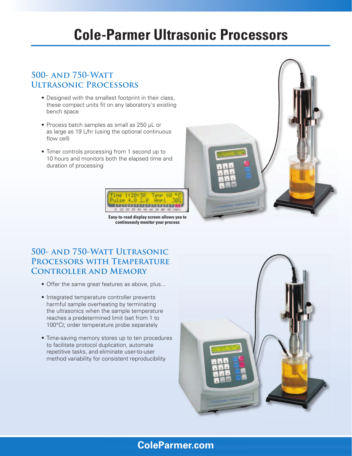## **Cole-Parmer Ultrasonic Processors**

### **500- and 750-Watt Ultrasonic Processors**

- Designed with the smallest footprint in their class, these compact units fit on any laboratory's existing bench space
- Process batch samples as small as 250 µL or as large as 19 L/hr (using the optional continuous flow cell)
- Timer controls processing from 1 second up to 10 hours and monitors both the elapsed time and duration of processing



**Easy-to-read display screen allows you to continuously monitor your process**



## **500- and 750-Watt Ultrasonic Processors with Temperature Controller and Memory**

- Offer the same great features as above, plus...
- Integrated temperature controller prevents harmful sample overheating by terminating the ultrasonics when the sample temperature reaches a predetermined limit (set from 1 to 100°C); order temperature probe separately
- Time-saving memory stores up to ten procedures to facilitate protocol duplication, automate repetitive tasks, and eliminate user-to-user method variability for consistent reproducibility



## **ColeParmer.com**